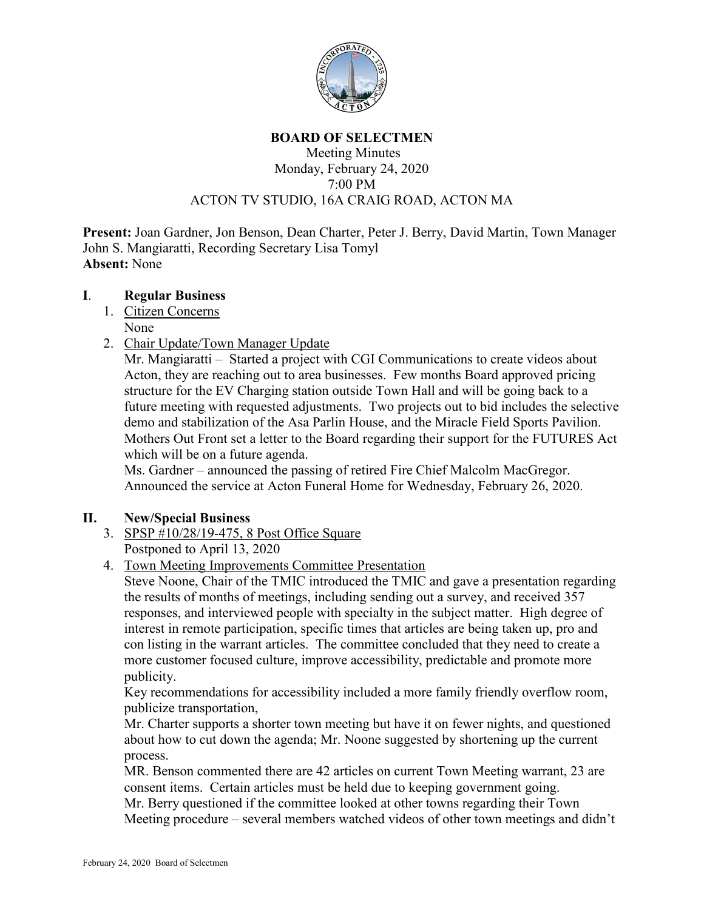

#### **BOARD OF SELECTMEN**

## Meeting Minutes Monday, February 24, 2020 7:00 PM ACTON TV STUDIO, 16A CRAIG ROAD, ACTON MA

**Present:** Joan Gardner, Jon Benson, Dean Charter, Peter J. Berry, David Martin, Town Manager John S. Mangiaratti, Recording Secretary Lisa Tomyl **Absent:** None

### **I**. **Regular Business**

- 1. Citizen Concerns None
- 2. Chair Update/Town Manager Update

Mr. Mangiaratti – Started a project with CGI Communications to create videos about Acton, they are reaching out to area businesses. Few months Board approved pricing structure for the EV Charging station outside Town Hall and will be going back to a future meeting with requested adjustments. Two projects out to bid includes the selective demo and stabilization of the Asa Parlin House, and the Miracle Field Sports Pavilion. Mothers Out Front set a letter to the Board regarding their support for the FUTURES Act which will be on a future agenda.

Ms. Gardner – announced the passing of retired Fire Chief Malcolm MacGregor. Announced the service at Acton Funeral Home for Wednesday, February 26, 2020.

## **II. New/Special Business**

- 3. SPSP #10/28/19-475, 8 Post Office Square Postponed to April 13, 2020
- 4. Town Meeting Improvements Committee Presentation

Steve Noone, Chair of the TMIC introduced the TMIC and gave a presentation regarding the results of months of meetings, including sending out a survey, and received 357 responses, and interviewed people with specialty in the subject matter. High degree of interest in remote participation, specific times that articles are being taken up, pro and con listing in the warrant articles. The committee concluded that they need to create a more customer focused culture, improve accessibility, predictable and promote more publicity.

Key recommendations for accessibility included a more family friendly overflow room, publicize transportation,

Mr. Charter supports a shorter town meeting but have it on fewer nights, and questioned about how to cut down the agenda; Mr. Noone suggested by shortening up the current process.

MR. Benson commented there are 42 articles on current Town Meeting warrant, 23 are consent items. Certain articles must be held due to keeping government going.

Mr. Berry questioned if the committee looked at other towns regarding their Town Meeting procedure – several members watched videos of other town meetings and didn't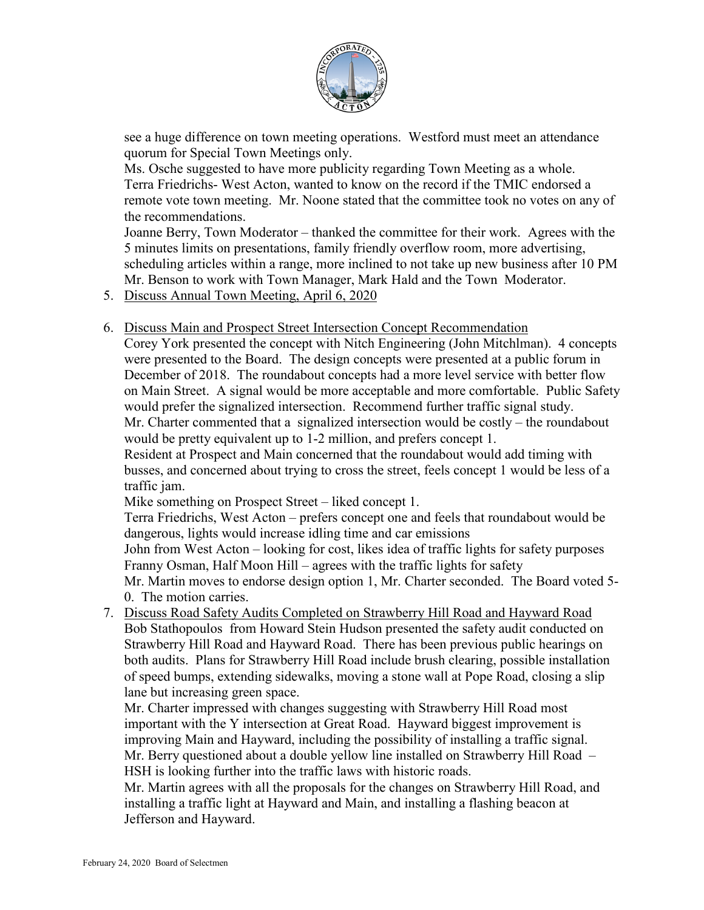

see a huge difference on town meeting operations. Westford must meet an attendance quorum for Special Town Meetings only.

Ms. Osche suggested to have more publicity regarding Town Meeting as a whole. Terra Friedrichs- West Acton, wanted to know on the record if the TMIC endorsed a remote vote town meeting. Mr. Noone stated that the committee took no votes on any of the recommendations.

Joanne Berry, Town Moderator – thanked the committee for their work. Agrees with the 5 minutes limits on presentations, family friendly overflow room, more advertising, scheduling articles within a range, more inclined to not take up new business after 10 PM Mr. Benson to work with Town Manager, Mark Hald and the Town Moderator.

5. Discuss Annual Town Meeting, April 6, 2020

### 6. Discuss Main and Prospect Street Intersection Concept Recommendation

Corey York presented the concept with Nitch Engineering (John Mitchlman). 4 concepts were presented to the Board. The design concepts were presented at a public forum in December of 2018. The roundabout concepts had a more level service with better flow on Main Street. A signal would be more acceptable and more comfortable. Public Safety would prefer the signalized intersection. Recommend further traffic signal study. Mr. Charter commented that a signalized intersection would be costly – the roundabout would be pretty equivalent up to 1-2 million, and prefers concept 1.

Resident at Prospect and Main concerned that the roundabout would add timing with busses, and concerned about trying to cross the street, feels concept 1 would be less of a traffic jam.

Mike something on Prospect Street – liked concept 1.

Terra Friedrichs, West Acton – prefers concept one and feels that roundabout would be dangerous, lights would increase idling time and car emissions

John from West Acton – looking for cost, likes idea of traffic lights for safety purposes Franny Osman, Half Moon Hill – agrees with the traffic lights for safety

Mr. Martin moves to endorse design option 1, Mr. Charter seconded. The Board voted 5- 0. The motion carries.

7. Discuss Road Safety Audits Completed on Strawberry Hill Road and Hayward Road Bob Stathopoulos from Howard Stein Hudson presented the safety audit conducted on Strawberry Hill Road and Hayward Road. There has been previous public hearings on both audits. Plans for Strawberry Hill Road include brush clearing, possible installation of speed bumps, extending sidewalks, moving a stone wall at Pope Road, closing a slip lane but increasing green space.

Mr. Charter impressed with changes suggesting with Strawberry Hill Road most important with the Y intersection at Great Road. Hayward biggest improvement is improving Main and Hayward, including the possibility of installing a traffic signal. Mr. Berry questioned about a double yellow line installed on Strawberry Hill Road – HSH is looking further into the traffic laws with historic roads.

Mr. Martin agrees with all the proposals for the changes on Strawberry Hill Road, and installing a traffic light at Hayward and Main, and installing a flashing beacon at Jefferson and Hayward.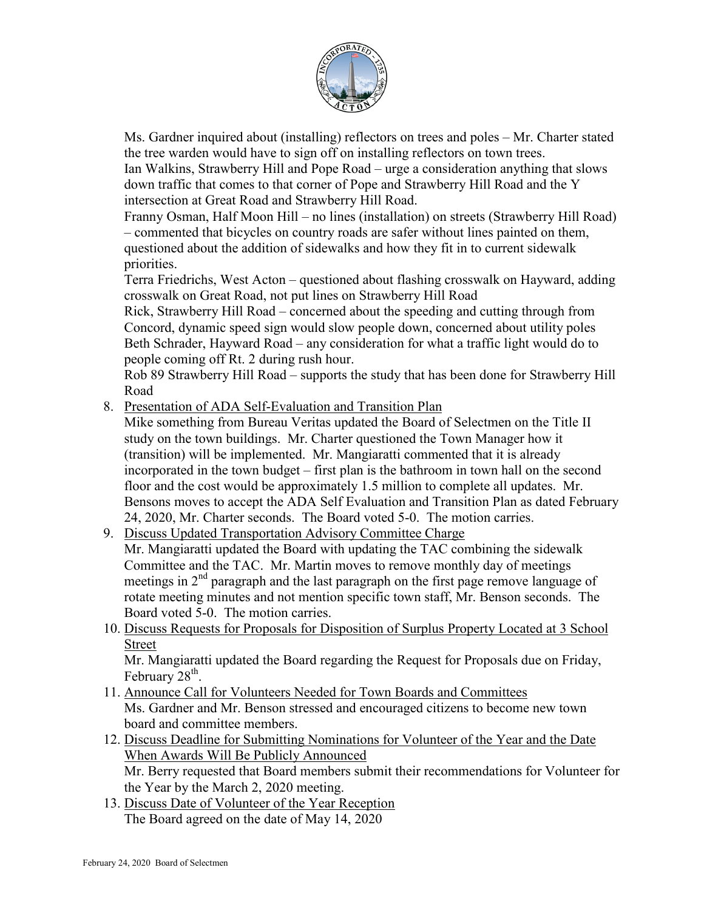

Ms. Gardner inquired about (installing) reflectors on trees and poles – Mr. Charter stated the tree warden would have to sign off on installing reflectors on town trees. Ian Walkins, Strawberry Hill and Pope Road – urge a consideration anything that slows

down traffic that comes to that corner of Pope and Strawberry Hill Road and the Y intersection at Great Road and Strawberry Hill Road.

Franny Osman, Half Moon Hill – no lines (installation) on streets (Strawberry Hill Road) – commented that bicycles on country roads are safer without lines painted on them, questioned about the addition of sidewalks and how they fit in to current sidewalk priorities.

Terra Friedrichs, West Acton – questioned about flashing crosswalk on Hayward, adding crosswalk on Great Road, not put lines on Strawberry Hill Road

Rick, Strawberry Hill Road – concerned about the speeding and cutting through from Concord, dynamic speed sign would slow people down, concerned about utility poles Beth Schrader, Hayward Road – any consideration for what a traffic light would do to people coming off Rt. 2 during rush hour.

Rob 89 Strawberry Hill Road – supports the study that has been done for Strawberry Hill Road

8. Presentation of ADA Self-Evaluation and Transition Plan

Mike something from Bureau Veritas updated the Board of Selectmen on the Title II study on the town buildings. Mr. Charter questioned the Town Manager how it (transition) will be implemented. Mr. Mangiaratti commented that it is already incorporated in the town budget – first plan is the bathroom in town hall on the second floor and the cost would be approximately 1.5 million to complete all updates. Mr. Bensons moves to accept the ADA Self Evaluation and Transition Plan as dated February 24, 2020, Mr. Charter seconds. The Board voted 5-0. The motion carries.

- 9. Discuss Updated Transportation Advisory Committee Charge Mr. Mangiaratti updated the Board with updating the TAC combining the sidewalk Committee and the TAC. Mr. Martin moves to remove monthly day of meetings meetings in  $2<sup>nd</sup>$  paragraph and the last paragraph on the first page remove language of rotate meeting minutes and not mention specific town staff, Mr. Benson seconds. The Board voted 5-0. The motion carries.
- 10. Discuss Requests for Proposals for Disposition of Surplus Property Located at 3 School Street

Mr. Mangiaratti updated the Board regarding the Request for Proposals due on Friday, February  $28<sup>th</sup>$ .

- 11. Announce Call for Volunteers Needed for Town Boards and Committees Ms. Gardner and Mr. Benson stressed and encouraged citizens to become new town board and committee members.
- 12. Discuss Deadline for Submitting Nominations for Volunteer of the Year and the Date When Awards Will Be Publicly Announced Mr. Berry requested that Board members submit their recommendations for Volunteer for the Year by the March 2, 2020 meeting.
- 13. Discuss Date of Volunteer of the Year Reception The Board agreed on the date of May 14, 2020